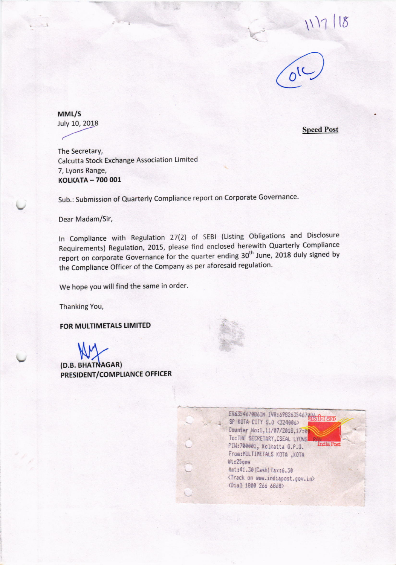$8$ 



MML/S July 10, 2018

**Speed Post** 

The Secretary, Calcutta Stock Exchange Association Limited 7, Lyons Range, KOLKATA - 700 001

Sub.: Submission of Quarterly Compliance report on Corporate Governance.

Dear Madam/Sir,

In Compliance with Regulation 27(2) of SEBI (Listing Obligations and Disclosure Requirements) Regulation, 2015, please find enclosed herewith Quarterly Compliance report on corporate Governance for the quarter ending 30<sup>th</sup> June, 2018 duly signed by the Compliance Officer of the Company as per aforesaid regulation.

We hope you will find the same in order.

Thanking You,

FOR MULTIMETALS LIMITED

(D.B. BHATNAGAR) PRESIDENT/COMPLIANCE OFFICER

> ER6354670B6IN IVR:69826354670B6 SP KOTA CITY S.O <324006> Counter No:1,11/07/2018,17:0 TO: THE SECRETARY, CSEAL LYONS India Post PIN:700001, Kolkatta G.P.O. From: MULTIMETALS KOTA , KOTA Wt:25ges Amt: 41.30 (Cash) Tax: 6.30 <Track on www.indiapost.gov.in> <Dial 1800 266 6868>